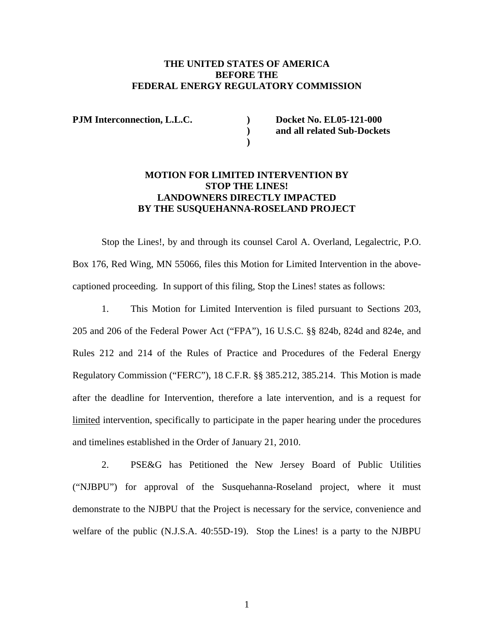## **THE UNITED STATES OF AMERICA BEFORE THE FEDERAL ENERGY REGULATORY COMMISSION**

 **)** 

PJM Interconnection, L.L.C. Docket No. EL05-121-000  **) and all related Sub-Dockets** 

## **MOTION FOR LIMITED INTERVENTION BY STOP THE LINES! LANDOWNERS DIRECTLY IMPACTED BY THE SUSQUEHANNA-ROSELAND PROJECT**

 Stop the Lines!, by and through its counsel Carol A. Overland, Legalectric, P.O. Box 176, Red Wing, MN 55066, files this Motion for Limited Intervention in the abovecaptioned proceeding. In support of this filing, Stop the Lines! states as follows:

1. This Motion for Limited Intervention is filed pursuant to Sections 203, 205 and 206 of the Federal Power Act ("FPA"), 16 U.S.C. §§ 824b, 824d and 824e, and Rules 212 and 214 of the Rules of Practice and Procedures of the Federal Energy Regulatory Commission ("FERC"), 18 C.F.R. §§ 385.212, 385.214. This Motion is made after the deadline for Intervention, therefore a late intervention, and is a request for limited intervention, specifically to participate in the paper hearing under the procedures and timelines established in the Order of January 21, 2010.

2. PSE&G has Petitioned the New Jersey Board of Public Utilities ("NJBPU") for approval of the Susquehanna-Roseland project, where it must demonstrate to the NJBPU that the Project is necessary for the service, convenience and welfare of the public (N.J.S.A. 40:55D-19). Stop the Lines! is a party to the NJBPU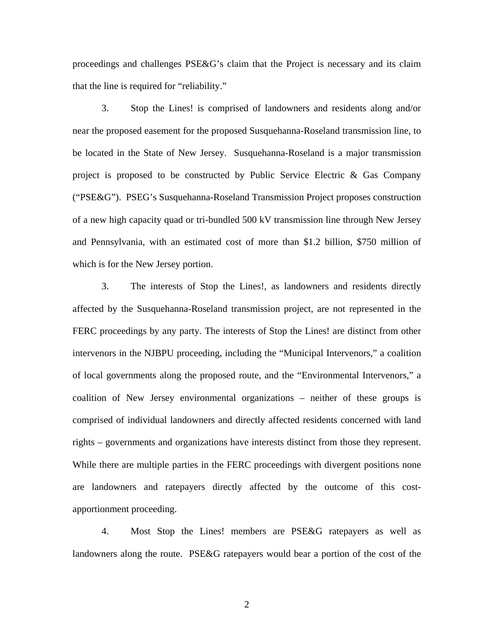proceedings and challenges PSE&G's claim that the Project is necessary and its claim that the line is required for "reliability."

3. Stop the Lines! is comprised of landowners and residents along and/or near the proposed easement for the proposed Susquehanna-Roseland transmission line, to be located in the State of New Jersey. Susquehanna-Roseland is a major transmission project is proposed to be constructed by Public Service Electric & Gas Company ("PSE&G"). PSEG's Susquehanna-Roseland Transmission Project proposes construction of a new high capacity quad or tri-bundled 500 kV transmission line through New Jersey and Pennsylvania, with an estimated cost of more than \$1.2 billion, \$750 million of which is for the New Jersey portion.

3. The interests of Stop the Lines!, as landowners and residents directly affected by the Susquehanna-Roseland transmission project, are not represented in the FERC proceedings by any party. The interests of Stop the Lines! are distinct from other intervenors in the NJBPU proceeding, including the "Municipal Intervenors," a coalition of local governments along the proposed route, and the "Environmental Intervenors," a coalition of New Jersey environmental organizations – neither of these groups is comprised of individual landowners and directly affected residents concerned with land rights – governments and organizations have interests distinct from those they represent. While there are multiple parties in the FERC proceedings with divergent positions none are landowners and ratepayers directly affected by the outcome of this costapportionment proceeding.

4. Most Stop the Lines! members are PSE&G ratepayers as well as landowners along the route. PSE&G ratepayers would bear a portion of the cost of the

2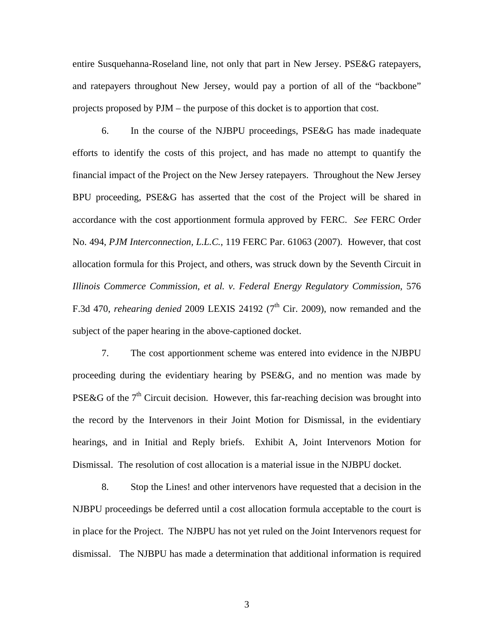entire Susquehanna-Roseland line, not only that part in New Jersey. PSE&G ratepayers, and ratepayers throughout New Jersey, would pay a portion of all of the "backbone" projects proposed by PJM – the purpose of this docket is to apportion that cost.

6. In the course of the NJBPU proceedings, PSE&G has made inadequate efforts to identify the costs of this project, and has made no attempt to quantify the financial impact of the Project on the New Jersey ratepayers. Throughout the New Jersey BPU proceeding, PSE&G has asserted that the cost of the Project will be shared in accordance with the cost apportionment formula approved by FERC. *See* FERC Order No. 494, *PJM Interconnection, L.L.C.*, 119 FERC Par. 61063 (2007). However, that cost allocation formula for this Project, and others, was struck down by the Seventh Circuit in *Illinois Commerce Commission, et al. v. Federal Energy Regulatory Commission*, 576 F.3d 470, *rehearing denied* 2009 LEXIS 24192 ( $7<sup>th</sup>$  Cir. 2009), now remanded and the subject of the paper hearing in the above-captioned docket.

7. The cost apportionment scheme was entered into evidence in the NJBPU proceeding during the evidentiary hearing by PSE&G, and no mention was made by PSE&G of the  $7<sup>th</sup>$  Circuit decision. However, this far-reaching decision was brought into the record by the Intervenors in their Joint Motion for Dismissal, in the evidentiary hearings, and in Initial and Reply briefs. Exhibit A, Joint Intervenors Motion for Dismissal. The resolution of cost allocation is a material issue in the NJBPU docket.

8. Stop the Lines! and other intervenors have requested that a decision in the NJBPU proceedings be deferred until a cost allocation formula acceptable to the court is in place for the Project. The NJBPU has not yet ruled on the Joint Intervenors request for dismissal. The NJBPU has made a determination that additional information is required

3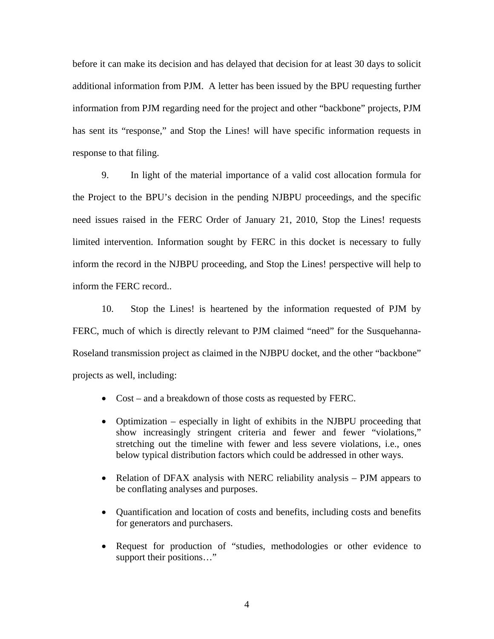before it can make its decision and has delayed that decision for at least 30 days to solicit additional information from PJM. A letter has been issued by the BPU requesting further information from PJM regarding need for the project and other "backbone" projects, PJM has sent its "response," and Stop the Lines! will have specific information requests in response to that filing.

9. In light of the material importance of a valid cost allocation formula for the Project to the BPU's decision in the pending NJBPU proceedings, and the specific need issues raised in the FERC Order of January 21, 2010, Stop the Lines! requests limited intervention. Information sought by FERC in this docket is necessary to fully inform the record in the NJBPU proceeding, and Stop the Lines! perspective will help to inform the FERC record..

10. Stop the Lines! is heartened by the information requested of PJM by FERC, much of which is directly relevant to PJM claimed "need" for the Susquehanna-Roseland transmission project as claimed in the NJBPU docket, and the other "backbone" projects as well, including:

- Cost and a breakdown of those costs as requested by FERC.
- Optimization especially in light of exhibits in the NJBPU proceeding that show increasingly stringent criteria and fewer and fewer "violations," stretching out the timeline with fewer and less severe violations, i.e., ones below typical distribution factors which could be addressed in other ways.
- Relation of DFAX analysis with NERC reliability analysis PJM appears to be conflating analyses and purposes.
- Quantification and location of costs and benefits, including costs and benefits for generators and purchasers.
- Request for production of "studies, methodologies or other evidence to support their positions…"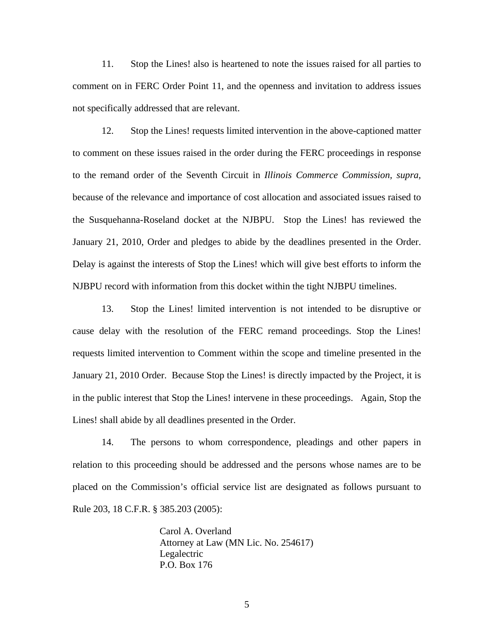11. Stop the Lines! also is heartened to note the issues raised for all parties to comment on in FERC Order Point 11, and the openness and invitation to address issues not specifically addressed that are relevant.

12. Stop the Lines! requests limited intervention in the above-captioned matter to comment on these issues raised in the order during the FERC proceedings in response to the remand order of the Seventh Circuit in *Illinois Commerce Commission, supra,*  because of the relevance and importance of cost allocation and associated issues raised to the Susquehanna-Roseland docket at the NJBPU. Stop the Lines! has reviewed the January 21, 2010, Order and pledges to abide by the deadlines presented in the Order. Delay is against the interests of Stop the Lines! which will give best efforts to inform the NJBPU record with information from this docket within the tight NJBPU timelines.

13. Stop the Lines! limited intervention is not intended to be disruptive or cause delay with the resolution of the FERC remand proceedings. Stop the Lines! requests limited intervention to Comment within the scope and timeline presented in the January 21, 2010 Order. Because Stop the Lines! is directly impacted by the Project, it is in the public interest that Stop the Lines! intervene in these proceedings. Again, Stop the Lines! shall abide by all deadlines presented in the Order.

14. The persons to whom correspondence, pleadings and other papers in relation to this proceeding should be addressed and the persons whose names are to be placed on the Commission's official service list are designated as follows pursuant to Rule 203, 18 C.F.R. § 385.203 (2005):

> Carol A. Overland Attorney at Law (MN Lic. No. 254617) Legalectric P.O. Box 176

> > 5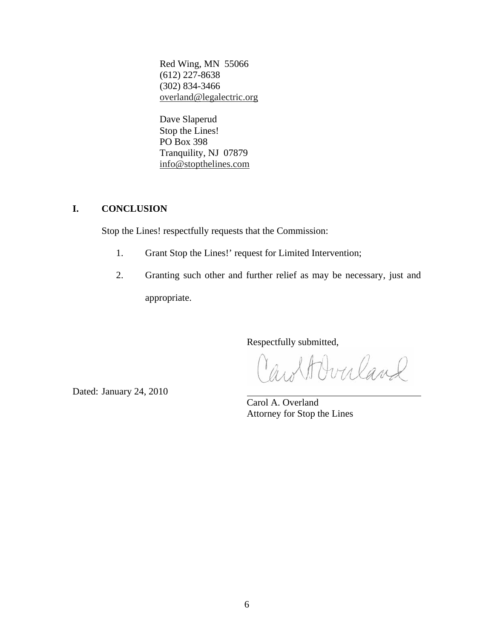Red Wing, MN 55066 (612) 227-8638 (302) 834-3466 overland@legalectric.org

 Dave Slaperud Stop the Lines! PO Box 398 Tranquility, NJ 07879 info@stopthelines.com

## **I. CONCLUSION**

Stop the Lines! respectfully requests that the Commission:

- 1. Grant Stop the Lines!' request for Limited Intervention;
- 2. Granting such other and further relief as may be necessary, just and appropriate.

Respectfully submitted,

wolf Overland

Dated: January 24, 2010

Carol A. Overland Attorney for Stop the Lines